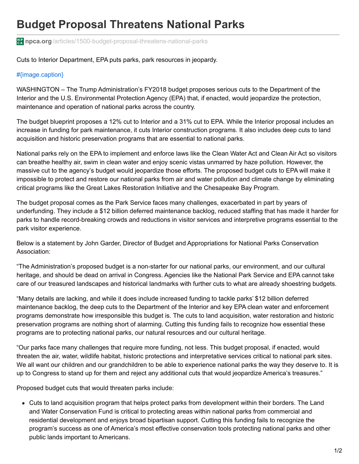## **Budget Proposal Threatens National Parks**

**H** npca.org[/articles/1500-budget-proposal-threatens-national-parks](https://www.npca.org/articles/1500-budget-proposal-threatens-national-parks)

Cuts to Interior Department, EPA puts parks, park resources in jeopardy.

## [#{image.caption}](https://npca.s3.amazonaws.com/images/6338/e61cc665-c02a-4c16-8c82-3676054394db-banner.jpg?1445968801)

WASHINGTON – The Trump Administration's FY2018 budget proposes serious cuts to the Department of the Interior and the U.S. Environmental Protection Agency (EPA) that, if enacted, would jeopardize the protection, maintenance and operation of national parks across the country.

The budget blueprint proposes a 12% cut to Interior and a 31% cut to EPA. While the Interior proposal includes an increase in funding for park maintenance, it cuts Interior construction programs. It also includes deep cuts to land acquisition and historic preservation programs that are essential to national parks.

National parks rely on the EPA to implement and enforce laws like the Clean Water Act and Clean Air Act so visitors can breathe healthy air, swim in clean water and enjoy scenic vistas unmarred by haze pollution. However, the massive cut to the agency's budget would jeopardize those efforts. The proposed budget cuts to EPA will make it impossible to protect and restore our national parks from air and water pollution and climate change by eliminating critical programs like the Great Lakes Restoration Initiative and the Chesapeake Bay Program.

The budget proposal comes as the Park Service faces many challenges, exacerbated in part by years of underfunding. They include a \$12 billion deferred maintenance backlog, reduced staffing that has made it harder for parks to handle record-breaking crowds and reductions in visitor services and interpretive programs essential to the park visitor experience.

Below is a statement by John Garder, Director of Budget and Appropriations for National Parks Conservation Association:

"The Administration's proposed budget is a non-starter for our national parks, our environment, and our cultural heritage, and should be dead on arrival in Congress. Agencies like the National Park Service and EPA cannot take care of our treasured landscapes and historical landmarks with further cuts to what are already shoestring budgets.

"Many details are lacking, and while it does include increased funding to tackle parks' \$12 billion deferred maintenance backlog, the deep cuts to the Department of the Interior and key EPA clean water and enforcement programs demonstrate how irresponsible this budget is. The cuts to land acquisition, water restoration and historic preservation programs are nothing short of alarming. Cutting this funding fails to recognize how essential these programs are to protecting national parks, our natural resources and our cultural heritage.

"Our parks face many challenges that require more funding, not less. This budget proposal, if enacted, would threaten the air, water, wildlife habitat, historic protections and interpretative services critical to national park sites. We all want our children and our grandchildren to be able to experience national parks the way they deserve to. It is up to Congress to stand up for them and reject any additional cuts that would jeopardize America's treasures."

Proposed budget cuts that would threaten parks include:

Cuts to land acquisition program that helps protect parks from development within their borders. The Land and Water Conservation Fund is critical to protecting areas within national parks from commercial and residential development and enjoys broad bipartisan support. Cutting this funding fails to recognize the program's success as one of America's most effective conservation tools protecting national parks and other public lands important to Americans.